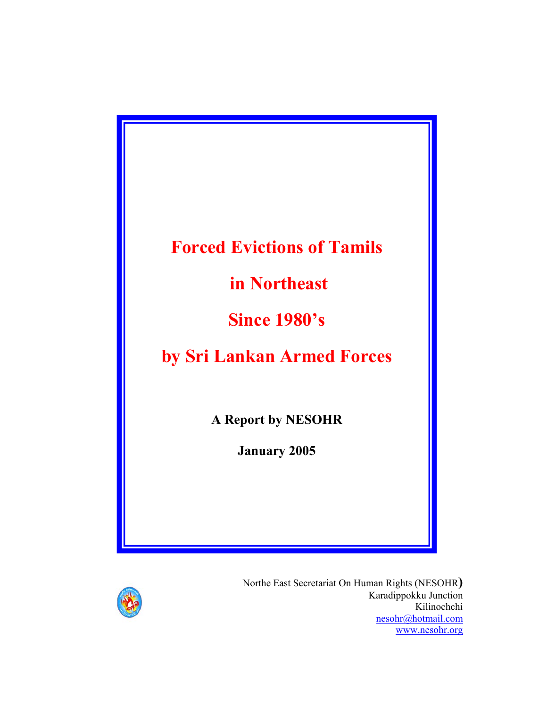# **Forced Evictions of Tamils**

 **in Northeast** 

**Since 1980's** 

**by Sri Lankan Armed Forces** 

**A Report by NESOHR** 

**January 2005** 



Northe East Secretariat On Human Rights (NESOHR**)** Karadippokku Junction Kilinochchi nesohr@hotmail.com www.nesohr.org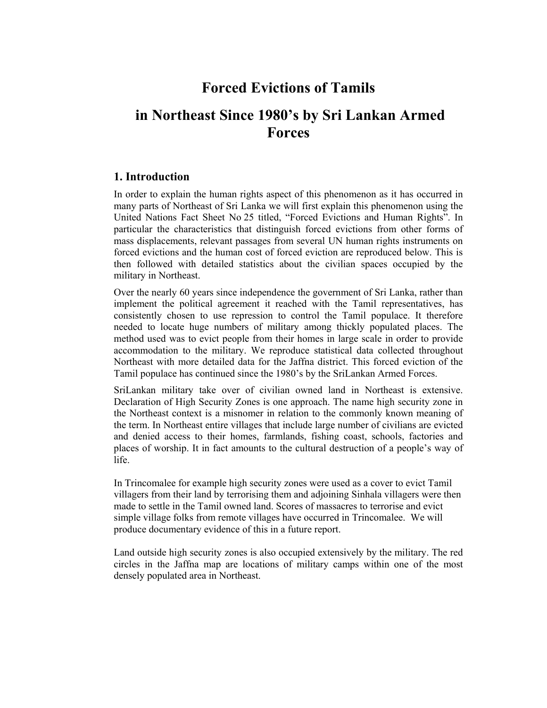# **Forced Evictions of Tamils**

# **in Northeast Since 1980's by Sri Lankan Armed Forces**

### **1. Introduction**

In order to explain the human rights aspect of this phenomenon as it has occurred in many parts of Northeast of Sri Lanka we will first explain this phenomenon using the United Nations Fact Sheet No 25 titled, "Forced Evictions and Human Rights". In particular the characteristics that distinguish forced evictions from other forms of mass displacements, relevant passages from several UN human rights instruments on forced evictions and the human cost of forced eviction are reproduced below. This is then followed with detailed statistics about the civilian spaces occupied by the military in Northeast.

Over the nearly 60 years since independence the government of Sri Lanka, rather than implement the political agreement it reached with the Tamil representatives, has consistently chosen to use repression to control the Tamil populace. It therefore needed to locate huge numbers of military among thickly populated places. The method used was to evict people from their homes in large scale in order to provide accommodation to the military. We reproduce statistical data collected throughout Northeast with more detailed data for the Jaffna district. This forced eviction of the Tamil populace has continued since the 1980's by the SriLankan Armed Forces.

SriLankan military take over of civilian owned land in Northeast is extensive. Declaration of High Security Zones is one approach. The name high security zone in the Northeast context is a misnomer in relation to the commonly known meaning of the term. In Northeast entire villages that include large number of civilians are evicted and denied access to their homes, farmlands, fishing coast, schools, factories and places of worship. It in fact amounts to the cultural destruction of a people's way of life.

In Trincomalee for example high security zones were used as a cover to evict Tamil villagers from their land by terrorising them and adjoining Sinhala villagers were then made to settle in the Tamil owned land. Scores of massacres to terrorise and evict simple village folks from remote villages have occurred in Trincomalee. We will produce documentary evidence of this in a future report.

Land outside high security zones is also occupied extensively by the military. The red circles in the Jaffna map are locations of military camps within one of the most densely populated area in Northeast.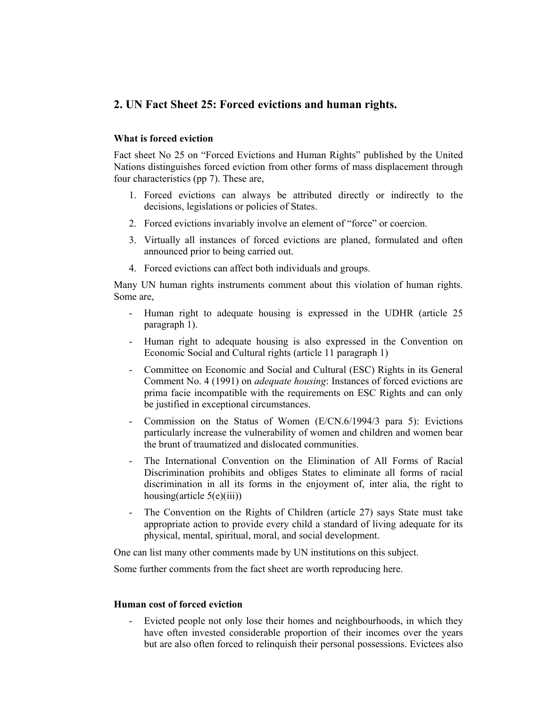### **2. UN Fact Sheet 25: Forced evictions and human rights.**

#### **What is forced eviction**

Fact sheet No 25 on "Forced Evictions and Human Rights" published by the United Nations distinguishes forced eviction from other forms of mass displacement through four characteristics (pp 7). These are,

- 1. Forced evictions can always be attributed directly or indirectly to the decisions, legislations or policies of States.
- 2. Forced evictions invariably involve an element of "force" or coercion.
- 3. Virtually all instances of forced evictions are planed, formulated and often announced prior to being carried out.
- 4. Forced evictions can affect both individuals and groups.

Many UN human rights instruments comment about this violation of human rights. Some are,

- Human right to adequate housing is expressed in the UDHR (article 25) paragraph 1).
- Human right to adequate housing is also expressed in the Convention on Economic Social and Cultural rights (article 11 paragraph 1)
- Committee on Economic and Social and Cultural (ESC) Rights in its General Comment No. 4 (1991) on *adequate housing*: Instances of forced evictions are prima facie incompatible with the requirements on ESC Rights and can only be justified in exceptional circumstances.
- Commission on the Status of Women (E/CN.6/1994/3 para 5): Evictions particularly increase the vulnerability of women and children and women bear the brunt of traumatized and dislocated communities.
- The International Convention on the Elimination of All Forms of Racial Discrimination prohibits and obliges States to eliminate all forms of racial discrimination in all its forms in the enjoyment of, inter alia, the right to housing(article  $5(e)(iii)$ )
- The Convention on the Rights of Children (article 27) says State must take appropriate action to provide every child a standard of living adequate for its physical, mental, spiritual, moral, and social development.

One can list many other comments made by UN institutions on this subject.

Some further comments from the fact sheet are worth reproducing here.

#### **Human cost of forced eviction**

Evicted people not only lose their homes and neighbourhoods, in which they have often invested considerable proportion of their incomes over the years but are also often forced to relinquish their personal possessions. Evictees also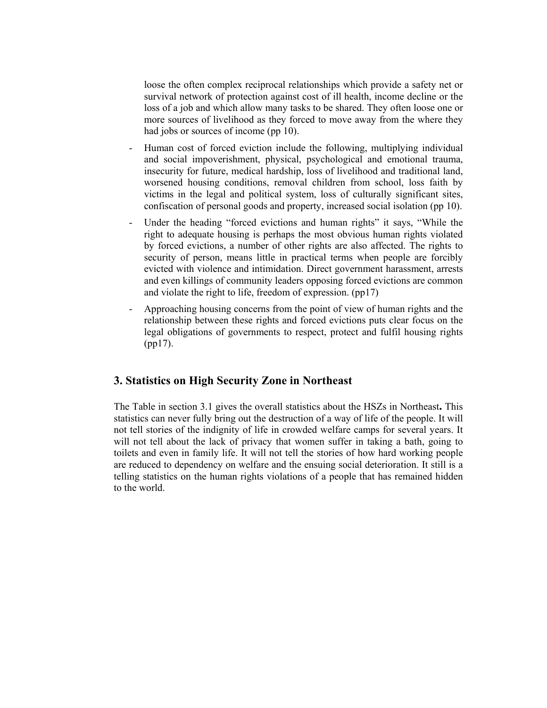loose the often complex reciprocal relationships which provide a safety net or survival network of protection against cost of ill health, income decline or the loss of a job and which allow many tasks to be shared. They often loose one or more sources of livelihood as they forced to move away from the where they had jobs or sources of income (pp 10).

- Human cost of forced eviction include the following, multiplying individual and social impoverishment, physical, psychological and emotional trauma, insecurity for future, medical hardship, loss of livelihood and traditional land, worsened housing conditions, removal children from school, loss faith by victims in the legal and political system, loss of culturally significant sites, confiscation of personal goods and property, increased social isolation (pp 10).
- Under the heading "forced evictions and human rights" it says, "While the right to adequate housing is perhaps the most obvious human rights violated by forced evictions, a number of other rights are also affected. The rights to security of person, means little in practical terms when people are forcibly evicted with violence and intimidation. Direct government harassment, arrests and even killings of community leaders opposing forced evictions are common and violate the right to life, freedom of expression. (pp17)
- Approaching housing concerns from the point of view of human rights and the relationship between these rights and forced evictions puts clear focus on the legal obligations of governments to respect, protect and fulfil housing rights (pp17).

### **3. Statistics on High Security Zone in Northeast**

The Table in section 3.1 gives the overall statistics about the HSZs in Northeast**.** This statistics can never fully bring out the destruction of a way of life of the people. It will not tell stories of the indignity of life in crowded welfare camps for several years. It will not tell about the lack of privacy that women suffer in taking a bath, going to toilets and even in family life. It will not tell the stories of how hard working people are reduced to dependency on welfare and the ensuing social deterioration. It still is a telling statistics on the human rights violations of a people that has remained hidden to the world.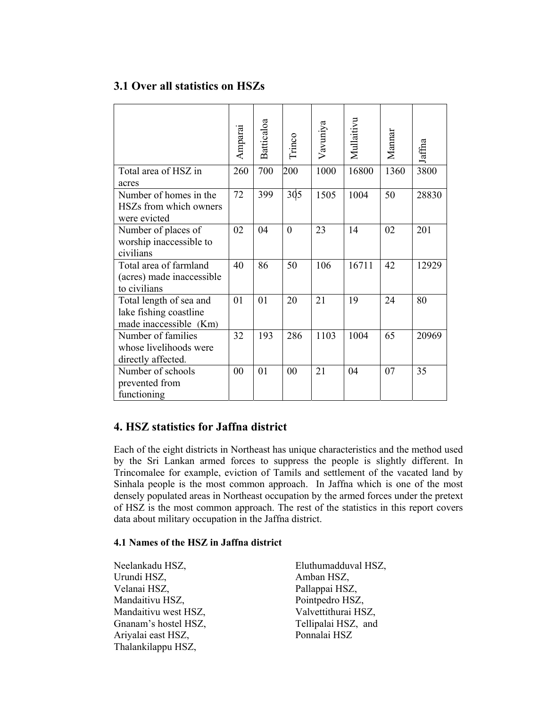### **3.1 Over all statistics on HSZs**

|                                                                             | Amparai | Batticaloa | Trinco          | Vavuniya | Mullaitivu | Mannar | Jaffna |
|-----------------------------------------------------------------------------|---------|------------|-----------------|----------|------------|--------|--------|
| Total area of HSZ in<br>acres                                               | 260     | 700        | 200             | 1000     | 16800      | 1360   | 3800   |
| Number of homes in the<br>HSZs from which owners<br>were evicted            | 72      | 399        | 30 <sub>5</sub> | 1505     | 1004       | 50     | 28830  |
| Number of places of<br>worship inaccessible to<br>civilians                 | 02      | 04         | $\mathbf{0}$    | 23       | 14         | 02     | 201    |
| Total area of farmland<br>(acres) made inaccessible<br>to civilians         | 40      | 86         | 50              | 106      | 16711      | 42     | 12929  |
| Total length of sea and<br>lake fishing coastline<br>made inaccessible (Km) | 01      | 01         | 20              | 21       | 19         | 24     | 80     |
| Number of families<br>whose livelihoods were<br>directly affected.          | 32      | 193        | 286             | 1103     | 1004       | 65     | 20969  |
| Number of schools<br>prevented from<br>functioning                          | 00      | 01         | 00              | 21       | 04         | 07     | 35     |

### **4. HSZ statistics for Jaffna district**

Each of the eight districts in Northeast has unique characteristics and the method used by the Sri Lankan armed forces to suppress the people is slightly different. In Trincomalee for example, eviction of Tamils and settlement of the vacated land by Sinhala people is the most common approach. In Jaffna which is one of the most densely populated areas in Northeast occupation by the armed forces under the pretext of HSZ is the most common approach. The rest of the statistics in this report covers data about military occupation in the Jaffna district.

#### **4.1 Names of the HSZ in Jaffna district**

Urundi HSZ, Amban HSZ, Velanai HSZ, Pallappai HSZ, Mandaitivu HSZ, Pointpedro HSZ, Mandaitivu west HSZ, Valvettithurai HSZ, Gnanam's hostel HSZ, Tellipalai HSZ, and Ariyalai east HSZ, Ponnalai HSZ Thalankilappu HSZ,

Neelankadu HSZ, Eluthumadduval HSZ,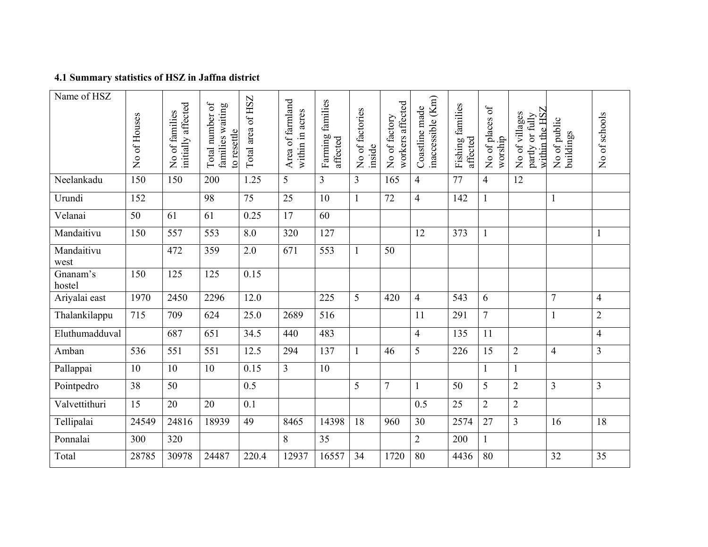## **4.1 Summary statistics of HSZ in Jaffna district**

| Name of HSZ        | No of Houses | initially affected<br>No of families | Ъ<br>families waiting<br>Total number<br>to resettle | Total area of HSZ | Area of farmland<br>within in acres | Farming families<br>affected | No of factories<br>inside | workers affected<br>No of factory | inaccessible (Km)<br>Coastline made | families<br>affected<br>Fishing | $\delta f$<br>No of places<br>worship | within the HSZ<br>No of villages<br>partly or fully | No of public<br>buildings | No of schools  |
|--------------------|--------------|--------------------------------------|------------------------------------------------------|-------------------|-------------------------------------|------------------------------|---------------------------|-----------------------------------|-------------------------------------|---------------------------------|---------------------------------------|-----------------------------------------------------|---------------------------|----------------|
| Neelankadu         | 150          | 150                                  | 200                                                  | 1.25              | 5                                   | 3                            | 3                         | 165                               | $\overline{4}$                      | 77                              | $\overline{4}$                        | 12                                                  |                           |                |
| Urundi             | 152          |                                      | 98                                                   | $\overline{75}$   | 25                                  | 10                           | $\mathbf{1}$              | 72                                | $\overline{4}$                      | 142                             | $\mathbf{1}$                          |                                                     | $\mathbf{1}$              |                |
| Velanai            | 50           | 61                                   | 61                                                   | 0.25              | 17                                  | 60                           |                           |                                   |                                     |                                 |                                       |                                                     |                           |                |
| Mandaitivu         | 150          | 557                                  | 553                                                  | 8.0               | 320                                 | 127                          |                           |                                   | 12                                  | 373                             | $\mathbf{1}$                          |                                                     |                           | $\mathbf{1}$   |
| Mandaitivu<br>west |              | 472                                  | 359                                                  | 2.0               | 671                                 | 553                          | 1                         | 50                                |                                     |                                 |                                       |                                                     |                           |                |
| Gnanam's<br>hostel | 150          | 125                                  | 125                                                  | 0.15              |                                     |                              |                           |                                   |                                     |                                 |                                       |                                                     |                           |                |
| Ariyalai east      | 1970         | 2450                                 | 2296                                                 | 12.0              |                                     | 225                          | 5                         | 420                               | $\overline{4}$                      | 543                             | 6                                     |                                                     | $\overline{7}$            | $\overline{4}$ |
| Thalankilappu      | 715          | 709                                  | 624                                                  | 25.0              | 2689                                | 516                          |                           |                                   | 11                                  | 291                             | $\overline{7}$                        |                                                     |                           | $\overline{2}$ |
| Eluthumadduval     |              | 687                                  | 651                                                  | 34.5              | 440                                 | 483                          |                           |                                   | $\overline{4}$                      | 135                             | 11                                    |                                                     |                           | $\overline{4}$ |
| Amban              | 536          | 551                                  | 551                                                  | 12.5              | 294                                 | 137                          |                           | 46                                | 5                                   | 226                             | 15                                    | $\sqrt{2}$                                          | $\overline{4}$            | $\overline{3}$ |
| Pallappai          | 10           | 10                                   | 10                                                   | 0.15              | 3                                   | 10                           |                           |                                   |                                     |                                 | 1                                     | $\mathbf{1}$                                        |                           |                |
| Pointpedro         | 38           | 50                                   |                                                      | 0.5               |                                     |                              | 5                         | $\overline{7}$                    | 1                                   | 50                              | 5                                     | $\sqrt{2}$                                          | 3                         | $\overline{3}$ |
| Valvettithuri      | 15           | 20                                   | 20                                                   | 0.1               |                                     |                              |                           |                                   | 0.5                                 | 25                              | $\overline{2}$                        | $\overline{2}$                                      |                           |                |
| Tellipalai         | 24549        | 24816                                | 18939                                                | 49                | 8465                                | 14398                        | 18                        | 960                               | 30                                  | 2574                            | 27                                    | 3                                                   | 16                        | 18             |
| Ponnalai           | 300          | 320                                  |                                                      |                   | 8                                   | 35                           |                           |                                   | $\overline{2}$                      | 200                             | $\mathbf{1}$                          |                                                     |                           |                |
| Total              | 28785        | 30978                                | 24487                                                | 220.4             | 12937                               | 16557                        | 34                        | 1720                              | 80                                  | 4436                            | 80                                    |                                                     | 32                        | 35             |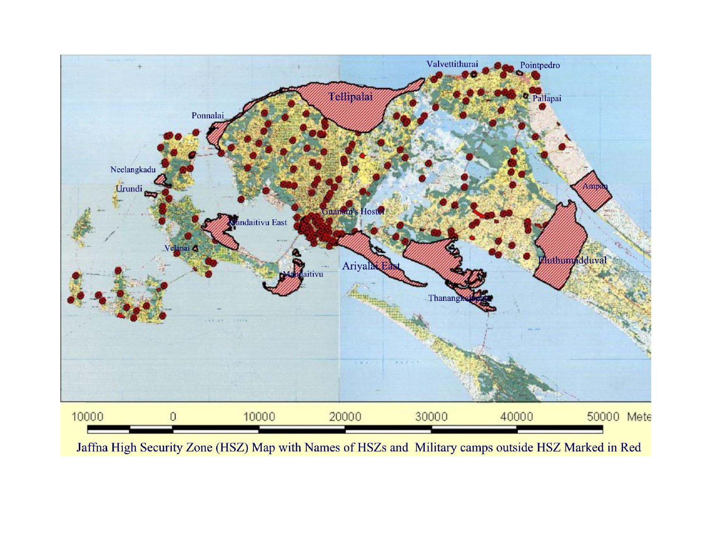

Jaffna High Security Zone (HSZ) Map with Names of HSZs and Military camps outside HSZ Marked in Red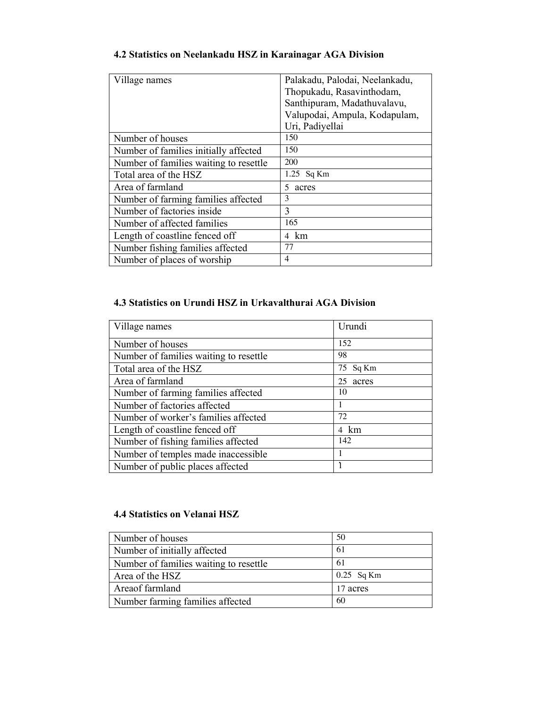| Village names                          | Palakadu, Palodai, Neelankadu, |
|----------------------------------------|--------------------------------|
|                                        | Thopukadu, Rasavinthodam,      |
|                                        | Santhipuram, Madathuvalavu,    |
|                                        | Valupodai, Ampula, Kodapulam,  |
|                                        | Uri, Padiyellai                |
| Number of houses                       | 150                            |
| Number of families initially affected  | 150                            |
| Number of families waiting to resettle | 200                            |
| Total area of the HSZ                  | 1.25 Sq Km                     |
| Area of farmland                       | 5<br>acres                     |
| Number of farming families affected    | 3                              |
| Number of factories inside             | 3                              |
| Number of affected families            | 165                            |
| Length of coastline fenced off         | 4 km                           |
| Number fishing families affected       | 77                             |
| Number of places of worship            | 4                              |

### **4.2 Statistics on Neelankadu HSZ in Karainagar AGA Division**

### **4.3 Statistics on Urundi HSZ in Urkavalthurai AGA Division**

| Urundi<br>Village names<br>152<br>Number of houses<br>98<br>Number of families waiting to resettle<br>75 Sq Km<br>Total area of the HSZ<br>Area of farmland<br>25<br>acres<br>Number of farming families affected<br>10<br>Number of factories affected<br>72<br>Number of worker's families affected<br>Length of coastline fenced off<br>4 km<br>142<br>Number of fishing families affected<br>Number of temples made inaccessible<br>Number of public places affected |  |
|--------------------------------------------------------------------------------------------------------------------------------------------------------------------------------------------------------------------------------------------------------------------------------------------------------------------------------------------------------------------------------------------------------------------------------------------------------------------------|--|
|                                                                                                                                                                                                                                                                                                                                                                                                                                                                          |  |
|                                                                                                                                                                                                                                                                                                                                                                                                                                                                          |  |
|                                                                                                                                                                                                                                                                                                                                                                                                                                                                          |  |
|                                                                                                                                                                                                                                                                                                                                                                                                                                                                          |  |
|                                                                                                                                                                                                                                                                                                                                                                                                                                                                          |  |
|                                                                                                                                                                                                                                                                                                                                                                                                                                                                          |  |
|                                                                                                                                                                                                                                                                                                                                                                                                                                                                          |  |
|                                                                                                                                                                                                                                                                                                                                                                                                                                                                          |  |
|                                                                                                                                                                                                                                                                                                                                                                                                                                                                          |  |
|                                                                                                                                                                                                                                                                                                                                                                                                                                                                          |  |
|                                                                                                                                                                                                                                                                                                                                                                                                                                                                          |  |
|                                                                                                                                                                                                                                                                                                                                                                                                                                                                          |  |
|                                                                                                                                                                                                                                                                                                                                                                                                                                                                          |  |

#### **4.4 Statistics on Velanai HSZ**

| Number of houses                       | 50           |
|----------------------------------------|--------------|
| Number of initially affected           | 61           |
| Number of families waiting to resettle | 61           |
| Area of the HSZ                        | $0.25$ Sq Km |
| Areaof farmland                        | 17 acres     |
| Number farming families affected       | 60           |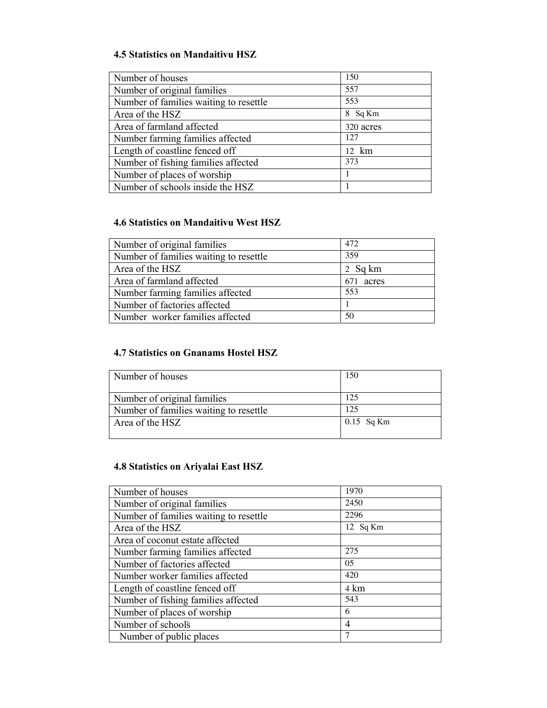### **4.5 Statistics on Mandaitivu HSZ**

| Number of houses                       | 150       |
|----------------------------------------|-----------|
| Number of original families            | 557       |
| Number of families waiting to resettle | 553       |
| Area of the HSZ                        | 8 Sq Km   |
| Area of farmland affected              | 320 acres |
| Number farming families affected       | 12.7      |
| Length of coastline fenced off         | 12 km     |
| Number of fishing families affected    | 373       |
| Number of places of worship            |           |
| Number of schools inside the HSZ       |           |

### **4.6 Statistics on Mandaitivu West HSZ**

| Number of original families            | 472       |
|----------------------------------------|-----------|
| Number of families waiting to resettle | 359       |
| Area of the HSZ                        | 2 Sq km   |
| Area of farmland affected              | 671 acres |
| Number farming families affected       | 553       |
| Number of factories affected           |           |
| Number worker families affected        | 50        |

### **4.7 Statistics on Gnanams Hostel HSZ**

| Number of houses                       | 150          |
|----------------------------------------|--------------|
| Number of original families            | 125          |
| Number of families waiting to resettle | 125          |
| Area of the HSZ                        | $0.15$ Sq Km |
|                                        |              |

### **4.8 Statistics on Ariyalai East HSZ**

| Number of houses                       | 1970     |
|----------------------------------------|----------|
| Number of original families            | 2450     |
| Number of families waiting to resettle | 2296     |
| Area of the HSZ                        | 12 Sq Km |
| Area of coconut estate affected        |          |
| Number farming families affected       | 275      |
| Number of factories affected           | 05       |
| Number worker families affected        | 420      |
| Length of coastline fenced off         | 4 km     |
| Number of fishing families affected    | 543      |
| Number of places of worship            | 6        |
| Number of school's                     | 4        |
| Number of public places                | 7        |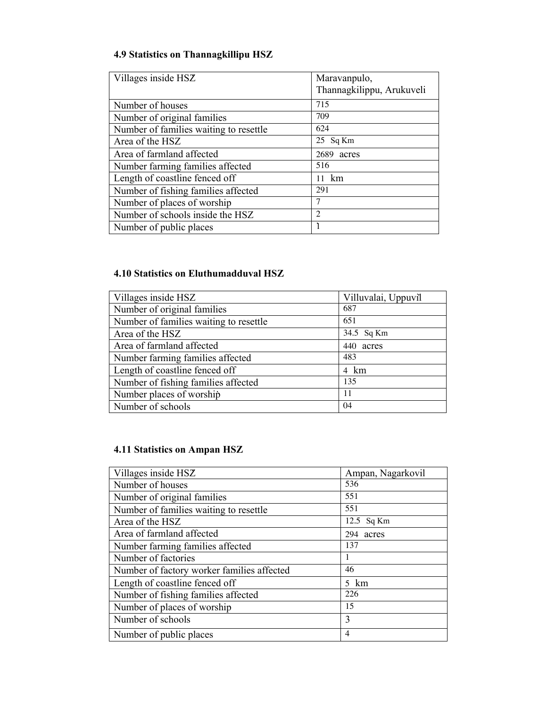### **4.9 Statistics on Thannagkillipu HSZ**

| Villages inside HSZ                    | Maravanpulo,              |
|----------------------------------------|---------------------------|
|                                        | Thannagkilippu, Arukuveli |
| Number of houses                       | 715                       |
| Number of original families            | 709                       |
| Number of families waiting to resettle | 624                       |
| Area of the HSZ                        | 25 Sq Km                  |
| Area of farmland affected              | 2689<br>acres             |
| Number farming families affected       | 516                       |
| Length of coastline fenced off         | 11 km                     |
| Number of fishing families affected    | 291                       |
| Number of places of worship            | 7                         |
| Number of schools inside the HSZ       | 2                         |
| Number of public places                |                           |

### **4.10 Statistics on Eluthumadduval HSZ**

| Villages inside HSZ                    | Villuvalai, Uppuvil |
|----------------------------------------|---------------------|
| Number of original families            | 687                 |
| Number of families waiting to resettle | 651                 |
| Area of the HSZ                        | 34.5 Sq Km          |
| Area of farmland affected              | 440<br>acres        |
| Number farming families affected       | 483                 |
| Length of coastline fenced off         | 4 km                |
| Number of fishing families affected    | 135                 |
| Number places of worship               | 11                  |
| Number of schools                      | 04                  |

### **4.11 Statistics on Ampan HSZ**

| Villages inside HSZ                        | Ampan, Nagarkovil |
|--------------------------------------------|-------------------|
| Number of houses                           | 536               |
| Number of original families                | 551               |
| Number of families waiting to resettle     | 551               |
| Area of the HSZ                            | 12.5 Sq Km        |
| Area of farmland affected                  | 294 acres         |
| Number farming families affected           | 137               |
| Number of factories                        |                   |
| Number of factory worker families affected | 46                |
| Length of coastline fenced off             | $5 \text{ km}$    |
| Number of fishing families affected        | 226               |
| Number of places of worship                | 15                |
| Number of schools                          | 3                 |
| Number of public places                    | 4                 |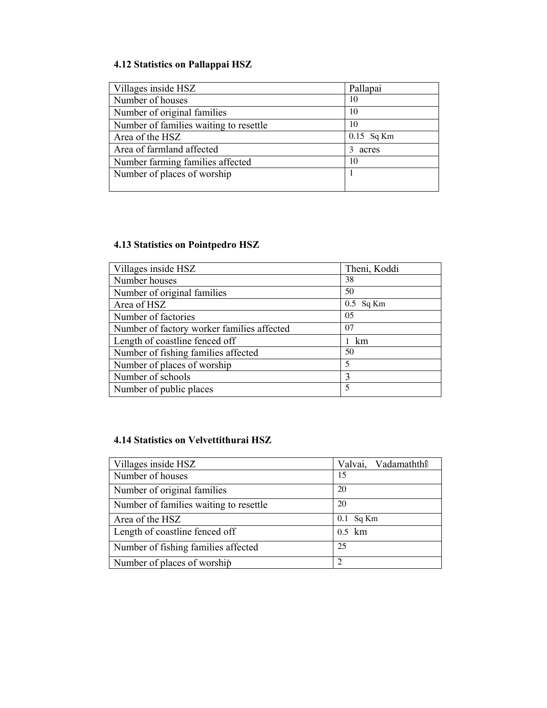### **4.12 Statistics on Pallappai HSZ**

| Villages inside HSZ                    | Pallapai     |
|----------------------------------------|--------------|
| Number of houses                       | 10           |
| Number of original families            | 10           |
| Number of families waiting to resettle | 10           |
| Area of the HSZ                        | $0.15$ Sq Km |
| Area of farmland affected              | 3<br>acres   |
| Number farming families affected       | 10           |
| Number of places of worship            |              |
|                                        |              |

### **4.13 Statistics on Pointpedro HSZ**

| Villages inside HSZ                        | Theni, Koddi |
|--------------------------------------------|--------------|
| Number houses                              | 38           |
| Number of original families                | 50           |
| Area of HSZ                                | $0.5$ Sq Km  |
| Number of factories                        | 05           |
| Number of factory worker families affected | 07           |
| Length of coastline fenced off             | km           |
| Number of fishing families affected        | 50           |
| Number of places of worship                | 5            |
| Number of schools                          | 3            |
| Number of public places                    | 5            |

### **4.14 Statistics on Velvettithurai HSZ**

| Villages inside HSZ                    | Vadamaththî<br>Valvai, |
|----------------------------------------|------------------------|
| Number of houses                       | 15                     |
| Number of original families            | 20                     |
| Number of families waiting to resettle | 20                     |
| Area of the HSZ                        | $0.1$ Sq Km            |
| Length of coastline fenced off         | $0.5$ km               |
| Number of fishing families affected    | 25                     |
| Number of places of worship            | $\mathcal{D}$          |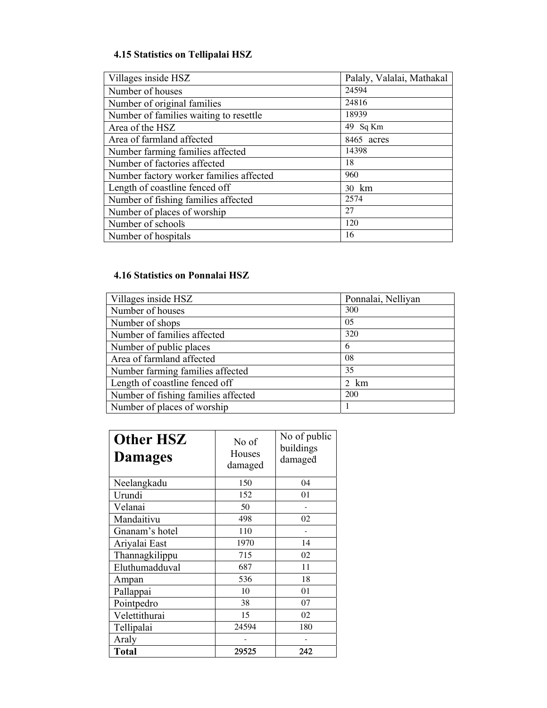### **4.15 Statistics on Tellipalai HSZ**

| Villages inside HSZ                     | Palaly, Valalai, Mathakal |
|-----------------------------------------|---------------------------|
| Number of houses                        | 24594                     |
| Number of original families             | 24816                     |
| Number of families waiting to resettle  | 18939                     |
| Area of the HSZ                         | 49 Sq Km                  |
| Area of farmland affected               | 8465 acres                |
| Number farming families affected        | 14398                     |
| Number of factories affected            | 18                        |
| Number factory worker families affected | 960                       |
| Length of coastline fenced off          | 30 km                     |
| Number of fishing families affected     | 2574                      |
| Number of places of worship             | 27                        |
| Number of schools                       | 120                       |
| Number of hospitals                     | 16                        |

### **4.16 Statistics on Ponnalai HSZ**

| Villages inside HSZ                 | Ponnalai, Nelliyan |  |
|-------------------------------------|--------------------|--|
| Number of houses                    | 300                |  |
| Number of shops                     | 05                 |  |
| Number of families affected         | 320                |  |
| Number of public places             | 6                  |  |
| Area of farmland affected           | 08                 |  |
| Number farming families affected    | 35                 |  |
| Length of coastline fenced off      | 2 km               |  |
| Number of fishing families affected | 200                |  |
| Number of places of worship         |                    |  |

| <b>Other HSZ</b><br><b>Damages</b> | No of<br>Houses<br>damaged | No of public<br>buildings<br>damaged |
|------------------------------------|----------------------------|--------------------------------------|
| Neelangkadu                        | 150                        | 04                                   |
| Urundi                             | 152                        | 01                                   |
| Velanai                            | 50                         |                                      |
| Mandaitivu                         | 498                        | 02                                   |
| Gnanam's hotel                     | 110                        |                                      |
| Ariyalai East                      | 1970                       | 14                                   |
| Thannagkilippu                     | 715                        | 02                                   |
| Eluthumadduval                     | 687                        | 11                                   |
| Ampan                              | 536                        | 18                                   |
| Pallappai                          | 10                         | 01                                   |
| Pointpedro                         | 38                         | 07                                   |
| Velettithurai                      | 15                         | 02                                   |
| Tellipalai                         | 24594                      | 180                                  |
| Araly                              |                            |                                      |
| <b>Total</b>                       | 29525                      | 242                                  |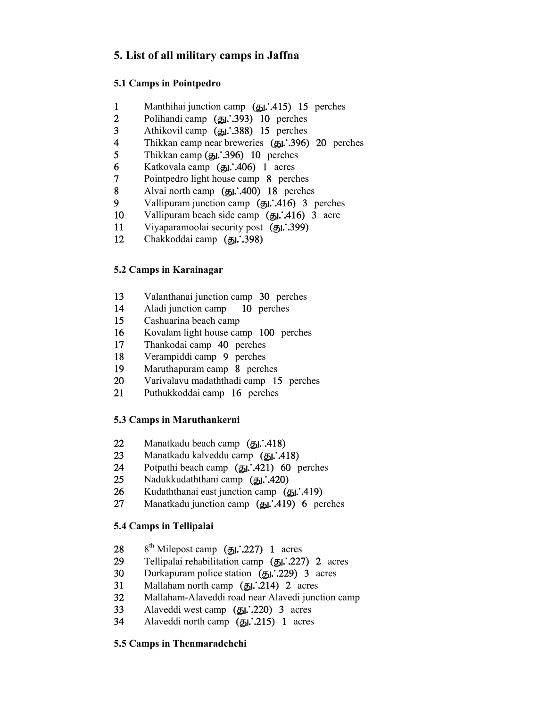### **5. List of all military camps in Jaffna**

### **5.1 Camps in Pointpedro**

- 1 Manthihai junction camp ( $\overline{g}_1$ . 415) 15 perches<br>2 Polihandi camp ( $\overline{g}_1$ . 393) 10 perches
- 2 Polihandi camp (51.393) 10 perches<br>3 Athikovil camp (51.388) 15 perches
- 3 Athikovil camp (51. 388) 15 perches<br>4 Thikkan camp near breweries (51. 396)
- 4 Thikkan camp near breweries ( $\overline{g}$ . 396) 20 perches<br>5 Thikkan camp ( $\overline{g}$ . 396) 10 perches
- 5 Thikkan camp ( $\overline{g}$ 1. 396) 10 perches<br>6 Katkovala camp ( $\overline{g}$ 1. 406) 1 acres
- 6 Katkovala camp ( $\overline{g}$ **).** A06) 1 acres<br>7 Pointpedro light house camp 8 perced
- Pointpedro light house camp 8 perches
- 8 Alvai north camp  $(g_1:400)$  18 perches<br>9 Vallipuram junction camp  $(g_1:416)$  3 is
- Vallipuram junction camp  $(g_1:416)$  3 perches
- 10 Vallipuram beach side camp  $(g_1:416)$  3 acre
- 11 Viyaparamoolai security post  $(g_1:399)$
- 12 Chakkoddai camp  $(J_1, 398)$

### **5.2 Camps in Karainagar**

- 13 Valanthanai junction camp 30 perches
- 14 Aladi junction camp 10 perches<br>15 Cashuarina beach camp
- Cashuarina beach camp
- 16 Kovalam light house camp 100 perches<br>17 Thankodai camp 40 perches
- 17 Thankodai camp 40 perches
- 18 Verampiddi camp 9 perches<br>19 Maruthapuram camp 8 perch
- Maruthapuram camp 8 perches
- 20 Varivalavu madaththadi camp 15 perches
- 21 Puthukkoddai camp 16 perches

### **5.3 Camps in Maruthankerni**

- 22 Manatkadu beach camp  $(g_1:418)$
- 23 Manatkadu kalveddu camp  $(J_1, 418)$
- 24 Potpathi beach camp  $(g_1:421)$  60 perches
- 25 Nadukkudaththani camp  $(J_1, 420)$
- 26 Kudaththanai east junction camp  $(g_1:419)$
- 27 Manatkadu junction camp  $(51, 1419)$  6 perches

### **5.4 Camps in Tellipalai**

- 28 8<sup>th</sup> Milepost camp (51. 227) 1 acres<br>29 Tellipalai rehabilitation camp (51. 227)
- Tellipalai rehabilitation camp  $(g_1, 227)$  2 acres
- 30 Durkapuram police station  $(g_1:229)$  3 acres<br>31 Mallaham north camp  $(g_1:214)$  2 acres
- Mallaham north camp  $(g_1:214)$  2 acres
- 32 Mallaham-Alaveddi road near Alavedi junction camp
- 33 Alaveddi west camp  $(g_1:220)$  3 acres
- 34 Alaveddi north camp  $(B_1:215)$  1 acres

### **5.5 Camps in Thenmaradchchi**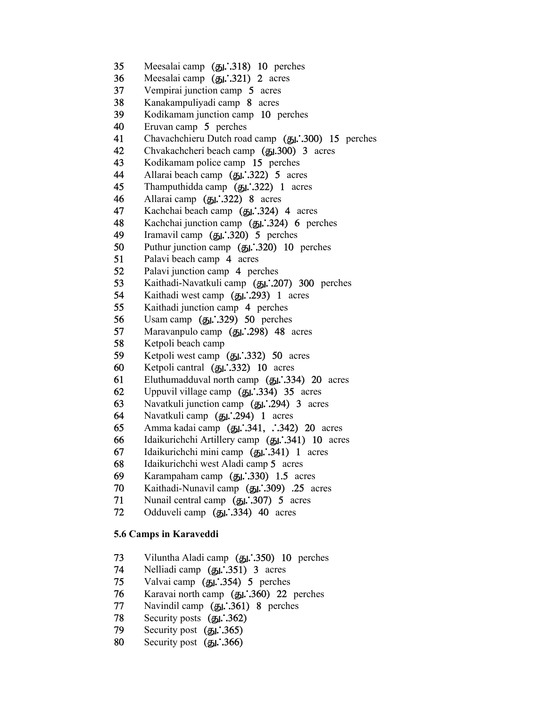- 35 Meesalai camp (51.318) 10 perches
- 36 Meesalai camp  $(g_1:321)$  2 acres
- 37 Vempirai junction camp 5 acres
- 38 Kanakampuliyadi camp 8 acres
- Kodikamam junction camp 10 perches
- 40 Eruvan camp 5 perches<br>41 Chavachchieru Dutch road
- 41 Chavachchieru Dutch road camp (51.300) 15 perches<br>42 Chvakachcheri beach camp (51.300) 3 acres
- 42 Chvakachcheri beach camp (51.300) 3 acres<br>43 Kodikamam police camp 15 perches
- 43 Kodikamam police camp 15 perches<br>44 Allarai beach camp (5). 322) 5 acre
- 44 Allarai beach camp (51. 322) 5 acres<br>45 Thamputhidda camp (51. 322) 1 acres
- Thamputhidda camp  $(M:322)$  1 acres
- 46 Allarai camp  $(g_1:322)$  8 acres
- 47 Kachchai beach camp (51. 324) 4 acres<br>48 Kachchai iunction camp (51. 324) 6 per
- Kachchai junction camp  $(g_1:324)$  6 perches
- 49 Iramavil camp  $(g_1:320)$  5 perches<br>50 Puthur junction camp  $(g_1:320)$  10
- 50 Puthur junction camp  $(g_1:320)$  10 perches<br>51 Palavi beach camp 4 acres
- 51 Palavi beach camp 4 acres<br>52 Palavi junction camp 4 per
- 52 Palavi junction camp 4 perches<br>53 Kaithadi-Navatkuli camp (51. 20
- 53 Kaithadi-Navatkuli camp ( $g_L$  $\dot{.}207$ ) 300 perches<br>54 Kaithadi west camp ( $g_L$  $\dot{.}293$ ) 1 acres
- 54 Kaithadi west camp (51. 293) 1 acres<br>55 Kaithadi iunction camp 4 perches
- 55 Kaithadi junction camp 4 perches<br>56 Usam camp (5). 50 perches
- 56 Usam camp ( $g_L$ : 329) 50 perches<br>57 Maravanpulo camp ( $g_L$ : 298) 48 a
- Maravanpulo camp  $(g_1:298)$  48 acres
- 58 Ketpoli beach camp<br>59 Ketpoli west camp
- Ketpoli west camp  $(J_5L^3.332)$  50 acres
- 60 Ketpoli cantral  $(g_1:332)$  10 acres
- 61 Eluthumadduval north camp  $(51, 334)$  20 acres
- 62 Uppuvil village camp ( $g_1$ : 334) 35 acres<br>63 Navatkuli iunction camp ( $g_1$ : 294) 3 acre
- Navatkuli junction camp  $(g_1:294)$  3 acres
- 64 Navatkuli camp  $(g_1:294)$  1 acres
- 65 Amma kadai camp  $(g_1:341, .342)$  20 acres
- 66 Idaikurichchi Artillery camp (51.341) 10 acres
- 67 Idaikurichchi mini camp (J/341) 1 acres
- 68 Idaikurichchi west Aladi camp 5 acres
- 69 Karampaham camp ( $g_{\text{L}}$ : 330) 1.5 acres<br>70 Kaithadi-Nunavil camp ( $g_{\text{L}}$ : 309) .25 acres
- 70 Kaithadi-Nunavil camp  $(g_1 \cdot .309)$  .25 acres<br>71 Nunail central camp  $(g_1 \cdot .307)$  5 acres
- 71 Nunail central camp  $(g_1:307)$  5 acres<br>72 Odduveli camp  $(g_1:334)$  40 acres
- Odduveli camp  $(J_2L^3.334)$  40 acres

#### **5.6 Camps in Karaveddi**

- 73 Viluntha Aladi camp  $(g_1:350)$  10 perches
- 74 Nelliadi camp  $(g_1:351)$  3 acres
- 75 Valvai camp  $(\mathbf{5}1, 354)$  5 perches
- 76 Karavai north camp  $(g_1:360)$  22 perches
- 77 Navindil camp  $(g_1:361)$  8 perches<br>78 Security posts  $(g_1:362)$
- 78 Security posts  $(g_1:362)$ <br>79 Security post  $(g_1:365)$
- Security post  $(51, 365)$
- 80 Security post  $(\mathbf{5}1, 366)$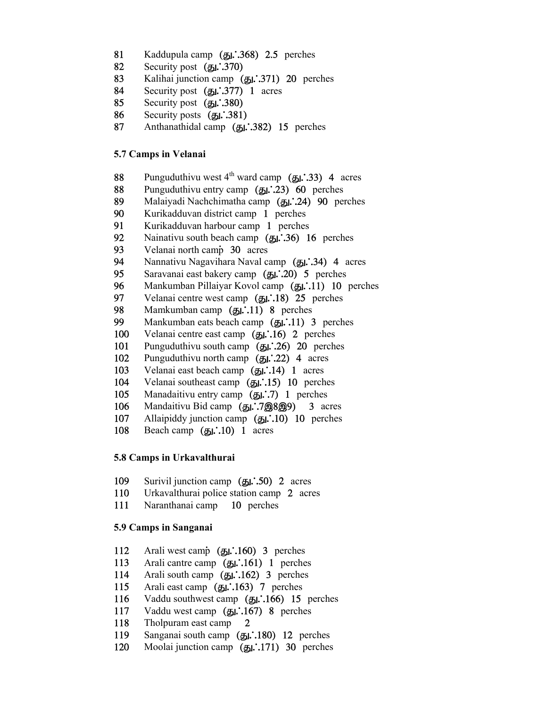- 81 Kaddupula camp (51.368) 2.5 perches
- 82 Security post  $(\mathbf{g}_1, 370)$
- 83 Kalihai junction camp (51.371) 20 perches
- 84 Security post  $(g_1:377)$  1 acres
- 85 Security post  $(g_1:380)$
- 86 Security posts  $(51, 381)$
- 87 Anthanathidal camp (51.382) 15 perches

#### **5.7 Camps in Velanai**

- 88 Punguduthivu west  $4^{th}$  ward camp ( $\overline{5}$ 1.33) 4 acres
- 88 Punguduthivu entry camp (51. 23) 60 perches<br>89 Malaivadi Nachchimatha camp (51. 24) 90 pe
- 89 Malaiyadi Nachchimatha camp (51. 24) 90 perches<br>90 Kurikadduvan district camp 1 perches
- Kurikadduvan district camp 1 perches
- 91 Kurikadduvan harbour camp 1 perches<br>92 Nainativu south beach camp (51.36) 1
- 92 Nainativu south beach camp ( $\overline{g}$ ). 36) 16 perches<br>93 Velanai north camp 30 acres
- 93 Velanai north camp 30 acres<br>94 Nannativu Nagavihara Naval ca
- 94 Nannativu Nagavihara Naval camp ( $g_1$ . 34) 4 acres<br>95 Saravanai east bakery camp ( $g_1$ . 20) 5 perches
- 95 Saravanai east bakery camp  $(\underline{\mathbf{g}}_1 \cdot .20)$  5 perches<br>96 Mankumban Pillaivar Kovol camp  $(\underline{\mathbf{g}}_1 \cdot .11)$  10
- 96 Mankumban Pillaiyar Kovol camp ( $\overline{g_1}$ . 11) 10 perches<br>97 Velanai centre west camp ( $\overline{g_1}$ . 18) 25 perches
- 97 Velanai centre west camp  $(g_1:18)$  25 perches<br>98 Mamkumban camp  $(g_1:11)$  8 perches
- Mamkumban camp  $(g_1:11)$  8 perches
- 99 Mankumban eats beach camp (51.11) 3 perches
- 100 Velanai centre east camp (51.16) 2 perches
- 101 Punguduthivu south camp  $(51, .26)$  20 perches
- 102 Punguduthivu north camp  $(g_1:22)$  4 acres
- 103 Velanai east beach camp  $(\mathbf{H}1, 14)$  1 acres
- 104 Velanai southeast camp (51.15) 10 perches
- 105 Manadaitivu entry camp (51.7) 1 perches
- 106 Mandaitivu Bid camp (51.79899) 3 acres
- 107 Allaipiddy junction camp (51.10) 10 perches
- 108 Beach camp  $(g_1:10)$  1 acres

#### **5.8 Camps in Urkavalthurai**

- 109 Surivil junction camp  $(\mathbf{5}l, 50)$  2 acres
- 110 Urkavalthurai police station camp 2 acres
- 111 Naranthanai camp 10 perches

#### **5.9 Camps in Sanganai**

- 112 Arali west camp  $(g_1:160)$  3 perches
- 113 Arali cantre camp  $(g_1:161)$  1 perches
- 114 Arali south camp  $(g_1:162)$  3 perches
- 115 Arali east camp  $(g_1:163)$  7 perches
- 116 Vaddu southwest camp  $(g_1:166)$  15 perches
- 117 Vaddu west camp (51.167) 8 perches
- 118 Tholpuram east camp 2
- 119 Sanganai south camp  $(\mathbf{H}1.180)$  12 perches
- 120 Moolai junction camp  $(g_1:171)$  30 perches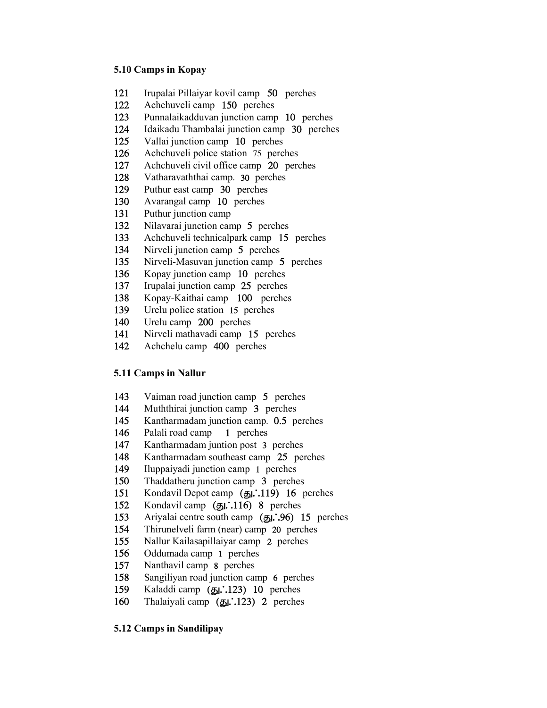#### **5.10 Camps in Kopay**

- 121 Irupalai Pillaiyar kovil camp 50 perches 122 Achchuveli camp 150 perches
- 
- 123 Punnalaikadduvan junction camp 10 perches<br>124 Idaikadu Thambalai junction camp 30 perche
- Idaikadu Thambalai junction camp 30 perches
- 125 Vallai junction camp 10 perches<br>126 Achchuveli police station 75 perc
- Achchuveli police station 75 perches
- 127 Achchuveli civil office camp 20 perches<br>128 Vatharavaththai camp. 30 perches
- Vatharavaththai camp. 30 perches
- 129 Puthur east camp 30 perches<br>130 Avarangal camp 10 perches
- Avarangal camp 10 perches
- 131 Puthur junction camp
- 132 Nilavarai junction camp 5 perches<br>133 Achchuveli technicalnark camp 15
- 133 Achchuveli technicalpark camp 15 perches<br>134 Nirveli iunction camp 5 perches
- 134 Nirveli junction camp 5 perches<br>135 Nirveli-Masuvan junction camp:
- 135 Nirveli-Masuvan junction camp 5 perches<br>136 Konav iunction camp 10 perches
- 136 Kopay junction camp 10 perches<br>137 Irunalai iunction camp 25 perches
- Irupalai junction camp 25 perches
- 138 Kopay-Kaithai camp 100 perches 139 Urelu police station 15 perches
- 
- 140 Urelu camp 200 perches
- 141 Nirveli mathavadi camp 15 perches
- 142 Achchelu camp 400 perches

#### **5.11 Camps in Nallur**

- 143 Vaiman road junction camp 5 perches<br>144 Muththirai iunction camp 3 perches
- Muththirai junction camp 3 perches
- 145 Kantharmadam junction camp. 0.5 perches<br>146 Palali road camp 1 perches
- Palali road camp 1 perches
- 147 Kantharmadam juntion post 3 perches<br>148 Kantharmadam southeast camp 25 per
- 148 Kantharmadam southeast camp 25 perches<br>149 Ilunnaivadi iunction camp 1 perches
- 149 Iluppaiyadi junction camp 1 perches<br>150 Thaddatheru junction camp 3 perche
- 150 Thaddatheru junction camp 3 perches<br>151 Kondavil Depot camp ( $\pi$ 1.19) 16 m
- 151 Kondavil Depot camp  $(g_1:119)$  16 perches<br>152 Kondavil camp  $(g_1:116)$  8 perches
- 152 Kondavil camp (51.116) 8 perches<br>153 Arivalai centre south camp (51.96) 1
- Ariyalai centre south camp  $(g_1: 96)$  15 perches
- 154 Thirunelveli farm (near) camp 20 perches<br>155 Nallur Kailasapillaivar camp 2 perches
- Nallur Kailasapillaiyar camp 2 perches
- 156 Oddumada camp 1 perches
- 157 Nanthavil camp 8 perches
- 158 Sangiliyan road junction camp 6 perches
- 159 Kaladdi camp (து.:123) 10 perches
- 160 Thalaiyali camp  $(B_1, 123)$  2 perches

#### **5.12 Camps in Sandilipay**